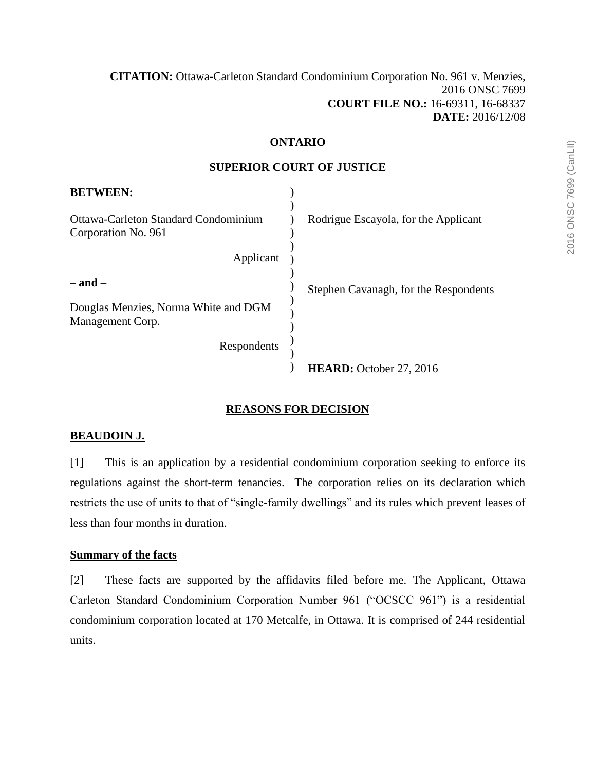### **[CITATION:](http://intra.judicialsecurity.jus.gov.on.ca/NeutralCitation/)** Ottawa-Carleton Standard Condominium Corporation No. 961 v. Menzies, 2016 ONSC 7699 **COURT FILE NO.:** 16-69311, 16-68337 **DATE:** 2016/12/08

### **ONTARIO**

### **SUPERIOR COURT OF JUSTICE**

| <b>BETWEEN:</b>                                             |                                       |
|-------------------------------------------------------------|---------------------------------------|
| Ottawa-Carleton Standard Condominium<br>Corporation No. 961 | Rodrigue Escayola, for the Applicant  |
| Applicant                                                   |                                       |
| $-$ and $-$                                                 | Stephen Cavanagh, for the Respondents |
| Douglas Menzies, Norma White and DGM<br>Management Corp.    |                                       |
| Respondents                                                 |                                       |
|                                                             | HEARD: October 27, 2016               |

## **REASONS FOR DECISION**

### **BEAUDOIN J.**

[1] This is an application by a residential condominium corporation seeking to enforce its regulations against the short-term tenancies. The corporation relies on its declaration which restricts the use of units to that of "single-family dwellings" and its rules which prevent leases of less than four months in duration.

### **Summary of the facts**

[2] These facts are supported by the affidavits filed before me. The Applicant, Ottawa Carleton Standard Condominium Corporation Number 961 ("OCSCC 961") is a residential condominium corporation located at 170 Metcalfe, in Ottawa. It is comprised of 244 residential units.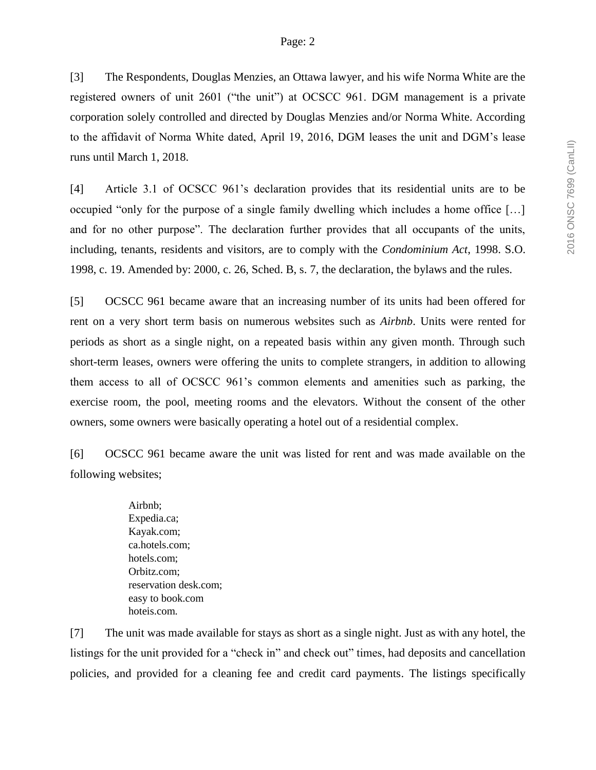[3] The Respondents, Douglas Menzies, an Ottawa lawyer, and his wife Norma White are the registered owners of unit 2601 ("the unit") at OCSCC 961. DGM management is a private corporation solely controlled and directed by Douglas Menzies and/or Norma White. According to the affidavit of Norma White dated, April 19, 2016, DGM leases the unit and DGM's lease runs until March 1, 2018.

[4] Article 3.1 of OCSCC 961's declaration provides that its residential units are to be occupied "only for the purpose of a single family dwelling which includes a home office […] and for no other purpose". The declaration further provides that all occupants of the units, including, tenants, residents and visitors, are to comply with the *Condominium Act*, 1998. S.O. 1998, c. 19. Amended by: 2000, c. 26, Sched. B, s. 7, the declaration, the bylaws and the rules.

[5] OCSCC 961 became aware that an increasing number of its units had been offered for rent on a very short term basis on numerous websites such as *Airbnb*. Units were rented for periods as short as a single night, on a repeated basis within any given month. Through such short-term leases, owners were offering the units to complete strangers, in addition to allowing them access to all of OCSCC 961's common elements and amenities such as parking, the exercise room, the pool, meeting rooms and the elevators. Without the consent of the other owners, some owners were basically operating a hotel out of a residential complex.

[6] OCSCC 961 became aware the unit was listed for rent and was made available on the following websites;

> Airbnb; Expedia.ca; Kayak.com; ca.hotels.com; hotels.com; Orbitz.com; reservation desk.com; easy to book.com hoteis.com.

[7] The unit was made available for stays as short as a single night. Just as with any hotel, the listings for the unit provided for a "check in" and check out" times, had deposits and cancellation policies, and provided for a cleaning fee and credit card payments. The listings specifically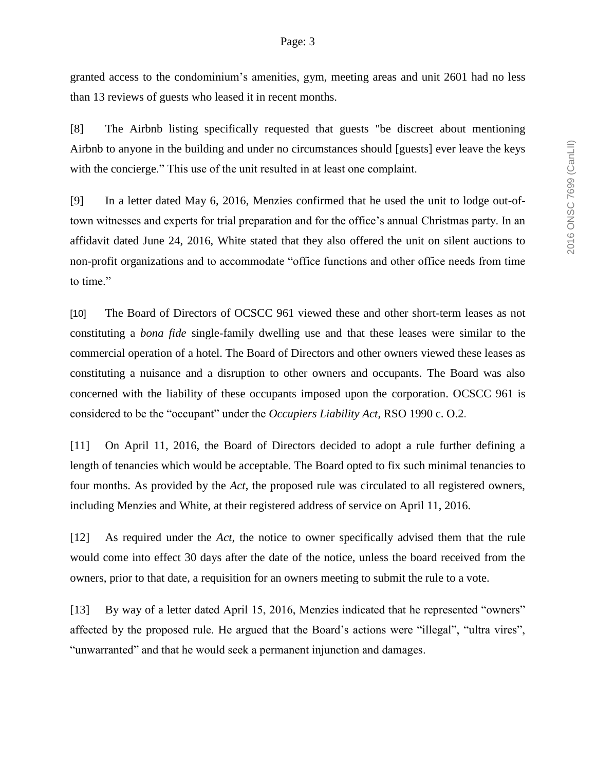granted access to the condominium's amenities, gym, meeting areas and unit 2601 had no less than 13 reviews of guests who leased it in recent months.

[8] The Airbnb listing specifically requested that guests "be discreet about mentioning Airbnb to anyone in the building and under no circumstances should [guests] ever leave the keys with the concierge." This use of the unit resulted in at least one complaint.

[9] In a letter dated May 6, 2016, Menzies confirmed that he used the unit to lodge out-oftown witnesses and experts for trial preparation and for the office's annual Christmas party. In an affidavit dated June 24, 2016, White stated that they also offered the unit on silent auctions to non-profit organizations and to accommodate "office functions and other office needs from time to time."

[10] The Board of Directors of OCSCC 961 viewed these and other short-term leases as not constituting a *bona fide* single-family dwelling use and that these leases were similar to the commercial operation of a hotel. The Board of Directors and other owners viewed these leases as constituting a nuisance and a disruption to other owners and occupants. The Board was also concerned with the liability of these occupants imposed upon the corporation. OCSCC 961 is considered to be the "occupant" under the *Occupiers Liability Act*, RSO 1990 c. O.2.

[11] On April 11, 2016, the Board of Directors decided to adopt a rule further defining a length of tenancies which would be acceptable. The Board opted to fix such minimal tenancies to four months. As provided by the *Act*, the proposed rule was circulated to all registered owners, including Menzies and White, at their registered address of service on April 11, 2016.

[12] As required under the *Act*, the notice to owner specifically advised them that the rule would come into effect 30 days after the date of the notice, unless the board received from the owners, prior to that date, a requisition for an owners meeting to submit the rule to a vote.

[13] By way of a letter dated April 15, 2016, Menzies indicated that he represented "owners" affected by the proposed rule. He argued that the Board's actions were "illegal", "ultra vires", "unwarranted" and that he would seek a permanent injunction and damages.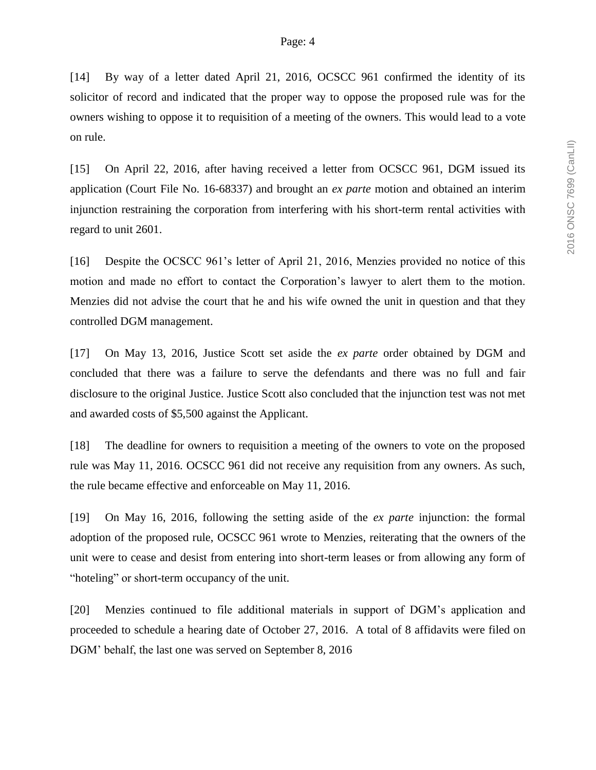[14] By way of a letter dated April 21, 2016, OCSCC 961 confirmed the identity of its solicitor of record and indicated that the proper way to oppose the proposed rule was for the owners wishing to oppose it to requisition of a meeting of the owners. This would lead to a vote on rule.

[15] On April 22, 2016, after having received a letter from OCSCC 961, DGM issued its application (Court File No. 16-68337) and brought an *ex parte* motion and obtained an interim injunction restraining the corporation from interfering with his short-term rental activities with regard to unit 2601.

[16] Despite the OCSCC 961's letter of April 21, 2016, Menzies provided no notice of this motion and made no effort to contact the Corporation's lawyer to alert them to the motion. Menzies did not advise the court that he and his wife owned the unit in question and that they controlled DGM management.

[17] On May 13, 2016, Justice Scott set aside the *ex parte* order obtained by DGM and concluded that there was a failure to serve the defendants and there was no full and fair disclosure to the original Justice. Justice Scott also concluded that the injunction test was not met and awarded costs of \$5,500 against the Applicant.

[18] The deadline for owners to requisition a meeting of the owners to vote on the proposed rule was May 11, 2016. OCSCC 961 did not receive any requisition from any owners. As such, the rule became effective and enforceable on May 11, 2016.

[19] On May 16, 2016, following the setting aside of the *ex parte* injunction: the formal adoption of the proposed rule, OCSCC 961 wrote to Menzies, reiterating that the owners of the unit were to cease and desist from entering into short-term leases or from allowing any form of "hoteling" or short-term occupancy of the unit.

[20] Menzies continued to file additional materials in support of DGM's application and proceeded to schedule a hearing date of October 27, 2016. A total of 8 affidavits were filed on DGM' behalf, the last one was served on September 8, 2016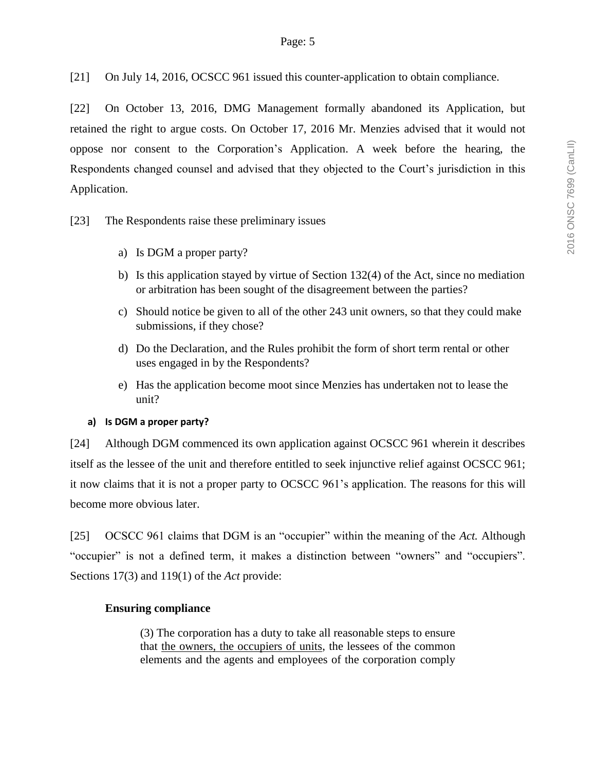[21] On July 14, 2016, OCSCC 961 issued this counter-application to obtain compliance.

[22] On October 13, 2016, DMG Management formally abandoned its Application, but retained the right to argue costs. On October 17, 2016 Mr. Menzies advised that it would not oppose nor consent to the Corporation's Application. A week before the hearing, the Respondents changed counsel and advised that they objected to the Court's jurisdiction in this Application.

[23] The Respondents raise these preliminary issues

- a) Is DGM a proper party?
- b) Is this application stayed by virtue of Section 132(4) of the Act, since no mediation or arbitration has been sought of the disagreement between the parties?
- c) Should notice be given to all of the other 243 unit owners, so that they could make submissions, if they chose?
- d) Do the Declaration, and the Rules prohibit the form of short term rental or other uses engaged in by the Respondents?
- e) Has the application become moot since Menzies has undertaken not to lease the unit?

### **a) Is DGM a proper party?**

[24] Although DGM commenced its own application against OCSCC 961 wherein it describes itself as the lessee of the unit and therefore entitled to seek injunctive relief against OCSCC 961; it now claims that it is not a proper party to OCSCC 961's application. The reasons for this will become more obvious later.

[25] OCSCC 961 claims that DGM is an "occupier" within the meaning of the *Act.* Although "occupier" is not a defined term, it makes a distinction between "owners" and "occupiers". Sections 17(3) and 119(1) of the *Act* provide:

### **Ensuring compliance**

(3) The corporation has a duty to take all reasonable steps to ensure that the owners, the occupiers of units, the lessees of the common elements and the agents and employees of the corporation comply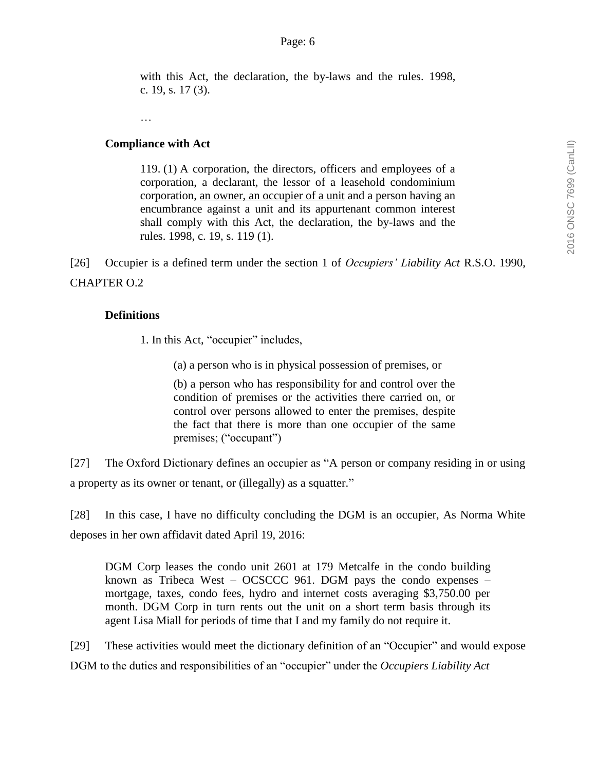with this Act, the declaration, the by-laws and the rules. 1998, c. 19, s. 17 (3).

…

### **Compliance with Act**

119. (1) A corporation, the directors, officers and employees of a corporation, a declarant, the lessor of a leasehold condominium corporation, an owner, an occupier of a unit and a person having an encumbrance against a unit and its appurtenant common interest shall comply with this Act, the declaration, the by-laws and the rules. 1998, c. 19, s. 119 (1).

[26] Occupier is a defined term under the section 1 of *Occupiers' Liability Act* R.S.O. 1990, CHAPTER O.2

### **Definitions**

1. In this Act, "occupier" includes,

(a) a person who is in physical possession of premises, or

(b) a person who has responsibility for and control over the condition of premises or the activities there carried on, or control over persons allowed to enter the premises, despite the fact that there is more than one occupier of the same premises; ("occupant")

[27] The Oxford Dictionary defines an occupier as "A person or company residing in or using a property as its owner or tenant, or (illegally) as a squatter."

[28] In this case, I have no difficulty concluding the DGM is an occupier, As Norma White deposes in her own affidavit dated April 19, 2016:

DGM Corp leases the condo unit 2601 at 179 Metcalfe in the condo building known as Tribeca West – OCSCCC 961. DGM pays the condo expenses – mortgage, taxes, condo fees, hydro and internet costs averaging \$3,750.00 per month. DGM Corp in turn rents out the unit on a short term basis through its agent Lisa Miall for periods of time that I and my family do not require it.

[29] These activities would meet the dictionary definition of an "Occupier" and would expose DGM to the duties and responsibilities of an "occupier" under the *Occupiers Liability Act*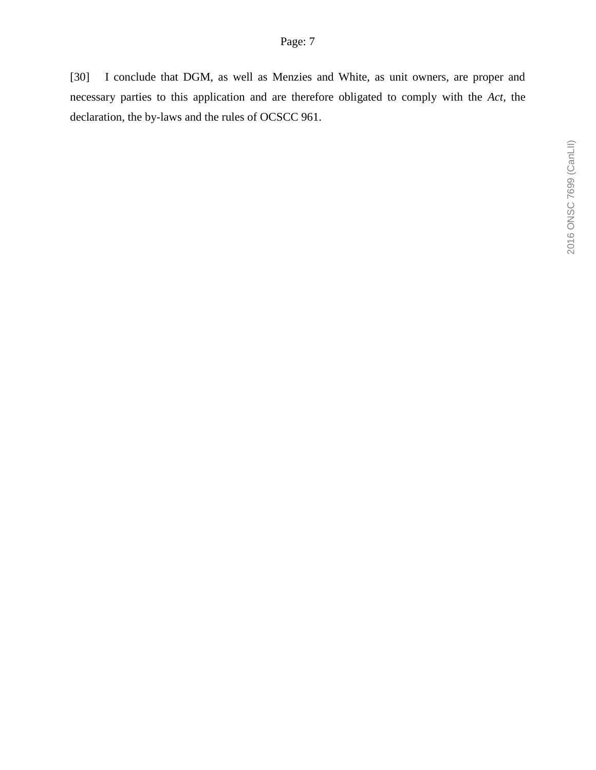[30] I conclude that DGM, as well as Menzies and White, as unit owners, are proper and necessary parties to this application and are therefore obligated to comply with the *Act*, the declaration, the by-laws and the rules of OCSCC 961.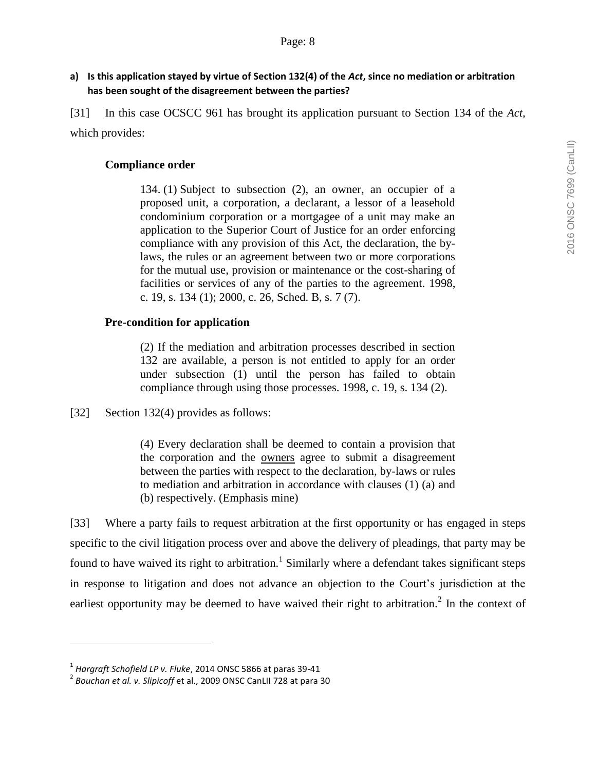[31] In this case OCSCC 961 has brought its application pursuant to Section 134 of the *Act,*  which provides:

# **Compliance order**

134. (1) Subject to subsection (2), an owner, an occupier of a proposed unit, a corporation, a declarant, a lessor of a leasehold condominium corporation or a mortgagee of a unit may make an application to the Superior Court of Justice for an order enforcing compliance with any provision of this Act, the declaration, the bylaws, the rules or an agreement between two or more corporations for the mutual use, provision or maintenance or the cost-sharing of facilities or services of any of the parties to the agreement. 1998, c. 19, s. 134 (1); 2000, c. 26, Sched. B, s. 7 (7).

# **Pre-condition for application**

(2) If the mediation and arbitration processes described in section 132 are available, a person is not entitled to apply for an order under subsection (1) until the person has failed to obtain compliance through using those processes. 1998, c. 19, s. 134 (2).

[32] Section 132(4) provides as follows:

(4) Every declaration shall be deemed to contain a provision that the corporation and the owners agree to submit a disagreement between the parties with respect to the declaration, by-laws or rules to mediation and arbitration in accordance with clauses (1) (a) and (b) respectively. (Emphasis mine)

[33] Where a party fails to request arbitration at the first opportunity or has engaged in steps specific to the civil litigation process over and above the delivery of pleadings, that party may be found to have waived its right to arbitration.<sup>1</sup> Similarly where a defendant takes significant steps in response to litigation and does not advance an objection to the Court's jurisdiction at the earliest opportunity may be deemed to have waived their right to arbitration.<sup>2</sup> In the context of

<sup>1</sup> *Hargraft Schofield LP v. Fluke*, 2014 ONSC 5866 at paras 39-41

<sup>2</sup> *Bouchan et al. v. Slipicoff* et al., 2009 ONSC CanLII 728 at para 30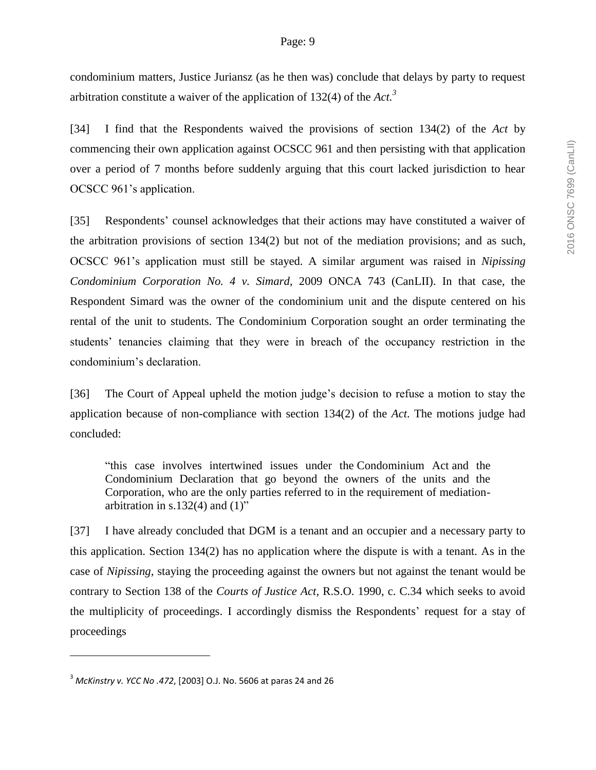condominium matters, Justice Juriansz (as he then was) conclude that delays by party to request arbitration constitute a waiver of the application of 132(4) of the *Act. 3*

[34] I find that the Respondents waived the provisions of section 134(2) of the *Act* by commencing their own application against OCSCC 961 and then persisting with that application over a period of 7 months before suddenly arguing that this court lacked jurisdiction to hear OCSCC 961's application.

[35] Respondents' counsel acknowledges that their actions may have constituted a waiver of the arbitration provisions of section 134(2) but not of the mediation provisions; and as such, OCSCC 961's application must still be stayed. A similar argument was raised in *Nipissing Condominium Corporation No. 4 v. Simard*, 2009 ONCA 743 (CanLII). In that case, the Respondent Simard was the owner of the condominium unit and the dispute centered on his rental of the unit to students. The Condominium Corporation sought an order terminating the students' tenancies claiming that they were in breach of the occupancy restriction in the condominium's declaration.

[36] The Court of Appeal upheld the motion judge's decision to refuse a motion to stay the application because of non-compliance with section 134(2) of the *Act*. The motions judge had concluded:

"this case involves intertwined issues under the Condominium Act and the Condominium Declaration that go beyond the owners of the units and the Corporation, who are the only parties referred to in the requirement of mediationarbitration in s.132(4) and  $(1)$ "

[37] I have already concluded that DGM is a tenant and an occupier and a necessary party to this application. Section 134(2) has no application where the dispute is with a tenant. As in the case of *Nipissing,* staying the proceeding against the owners but not against the tenant would be contrary to Section 138 of the *Courts of Justice Act,* R.S.O. 1990, c. C.34 which seeks to avoid the multiplicity of proceedings. I accordingly dismiss the Respondents' request for a stay of proceedings

<sup>3</sup> *McKinstry v. YCC No .472*, [2003] O.J. No. 5606 at paras 24 and 26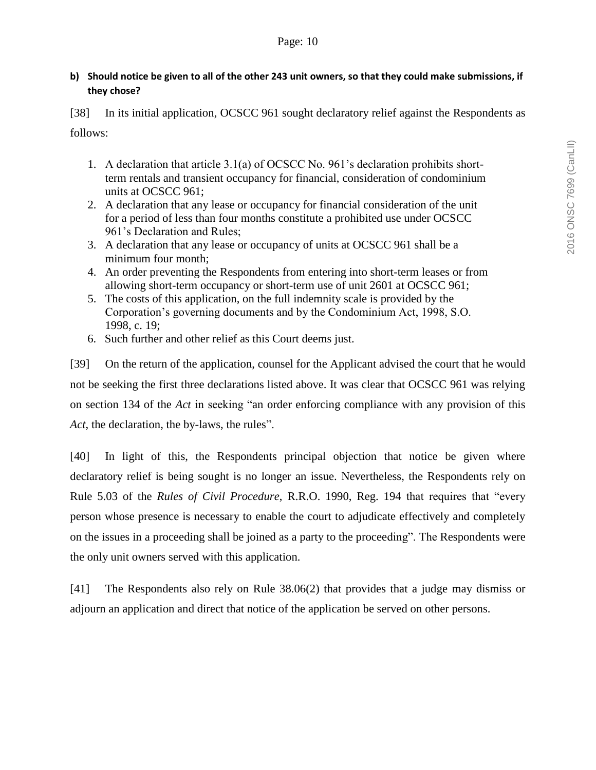### **b) Should notice be given to all of the other 243 unit owners, so that they could make submissions, if they chose?**

[38] In its initial application, OCSCC 961 sought declaratory relief against the Respondents as follows:

- 1. A declaration that article 3.1(a) of OCSCC No. 961's declaration prohibits shortterm rentals and transient occupancy for financial, consideration of condominium units at OCSCC 961;
- 2. A declaration that any lease or occupancy for financial consideration of the unit for a period of less than four months constitute a prohibited use under OCSCC 961's Declaration and Rules;
- 3. A declaration that any lease or occupancy of units at OCSCC 961 shall be a minimum four month;
- 4. An order preventing the Respondents from entering into short-term leases or from allowing short-term occupancy or short-term use of unit 2601 at OCSCC 961;
- 5. The costs of this application, on the full indemnity scale is provided by the Corporation's governing documents and by the Condominium Act, 1998, S.O. 1998, c. 19;
- 6. Such further and other relief as this Court deems just.

[39] On the return of the application, counsel for the Applicant advised the court that he would not be seeking the first three declarations listed above. It was clear that OCSCC 961 was relying on section 134 of the *Act* in seeking "an order enforcing compliance with any provision of this *Act*, the declaration, the by-laws, the rules".

[40] In light of this, the Respondents principal objection that notice be given where declaratory relief is being sought is no longer an issue. Nevertheless, the Respondents rely on Rule 5.03 of the *Rules of Civil Procedure*, R.R.O. 1990, Reg. 194 that requires that "every person whose presence is necessary to enable the court to adjudicate effectively and completely on the issues in a proceeding shall be joined as a party to the proceeding". The Respondents were the only unit owners served with this application.

[41] The Respondents also rely on Rule 38.06(2) that provides that a judge may dismiss or adjourn an application and direct that notice of the application be served on other persons.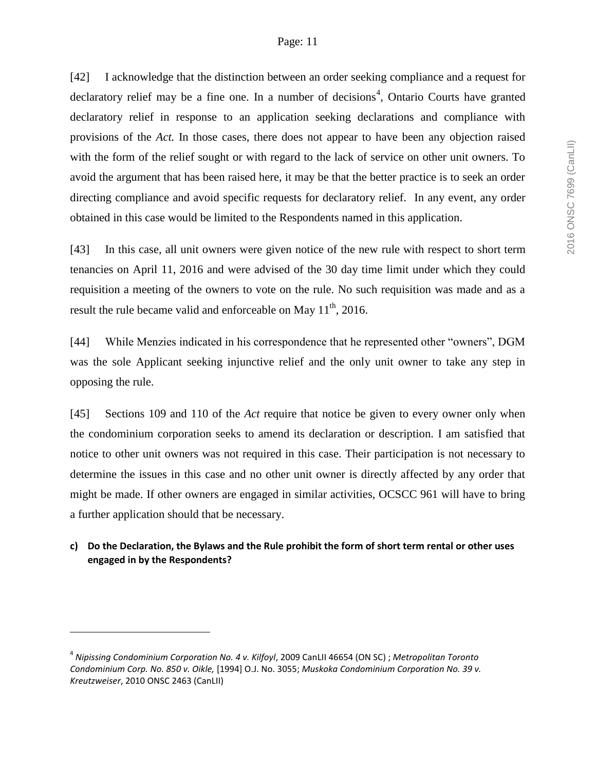#### Page: 11

[42] I acknowledge that the distinction between an order seeking compliance and a request for declaratory relief may be a fine one. In a number of decisions<sup>4</sup>, Ontario Courts have granted declaratory relief in response to an application seeking declarations and compliance with provisions of the *Act.* In those cases, there does not appear to have been any objection raised with the form of the relief sought or with regard to the lack of service on other unit owners. To avoid the argument that has been raised here, it may be that the better practice is to seek an order directing compliance and avoid specific requests for declaratory relief. In any event, any order obtained in this case would be limited to the Respondents named in this application.

[43] In this case, all unit owners were given notice of the new rule with respect to short term tenancies on April 11, 2016 and were advised of the 30 day time limit under which they could requisition a meeting of the owners to vote on the rule. No such requisition was made and as a result the rule became valid and enforceable on May  $11<sup>th</sup>$ , 2016.

[44] While Menzies indicated in his correspondence that he represented other "owners", DGM was the sole Applicant seeking injunctive relief and the only unit owner to take any step in opposing the rule.

[45] Sections 109 and 110 of the *Act* require that notice be given to every owner only when the condominium corporation seeks to amend its declaration or description. I am satisfied that notice to other unit owners was not required in this case. Their participation is not necessary to determine the issues in this case and no other unit owner is directly affected by any order that might be made. If other owners are engaged in similar activities, OCSCC 961 will have to bring a further application should that be necessary.

## **c) Do the Declaration, the Bylaws and the Rule prohibit the form of short term rental or other uses engaged in by the Respondents?**

<sup>4</sup> *Nipissing Condominium Corporation No. 4 v. Kilfoyl*, 2009 CanLII 46654 (ON SC) ; *Metropolitan Toronto Condominium Corp. No. 850 v. Oikle,* [1994] O.J. No. 3055; *Muskoka Condominium Corporation No. 39 v. Kreutzweiser*, 2010 ONSC 2463 (CanLII)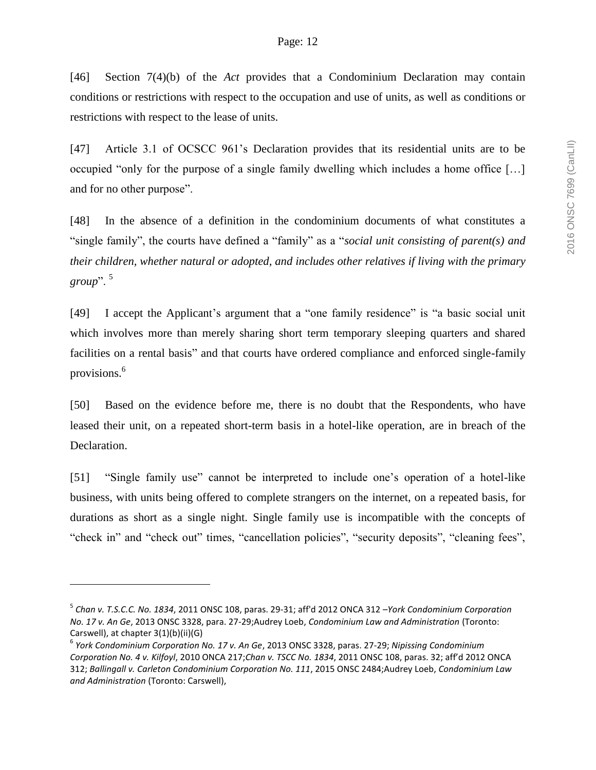[46] Section 7(4)(b) of the *Act* provides that a Condominium Declaration may contain conditions or restrictions with respect to the occupation and use of units, as well as conditions or restrictions with respect to the lease of units.

[47] Article 3.1 of OCSCC 961's Declaration provides that its residential units are to be occupied "only for the purpose of a single family dwelling which includes a home office […] and for no other purpose".

[48] In the absence of a definition in the condominium documents of what constitutes a "single family", the courts have defined a "family" as a "*social unit consisting of parent(s) and their children, whether natural or adopted, and includes other relatives if living with the primary group*". <sup>5</sup>

[49] I accept the Applicant's argument that a "one family residence" is "a basic social unit which involves more than merely sharing short term temporary sleeping quarters and shared facilities on a rental basis" and that courts have ordered compliance and enforced single-family provisions.<sup>6</sup>

[50] Based on the evidence before me, there is no doubt that the Respondents, who have leased their unit, on a repeated short-term basis in a hotel-like operation, are in breach of the Declaration.

[51] "Single family use" cannot be interpreted to include one's operation of a hotel-like business, with units being offered to complete strangers on the internet, on a repeated basis, for durations as short as a single night. Single family use is incompatible with the concepts of "check in" and "check out" times, "cancellation policies", "security deposits", "cleaning fees",

<sup>5</sup> *Chan v. T.S.C.C. No. 1834*, 2011 ONSC 108, paras. 29-31; aff'd 2012 ONCA 312 –*York Condominium Corporation No. 17 v. An Ge*, 2013 ONSC 3328, para. 27-29;Audrey Loeb, *Condominium Law and Administration* (Toronto: Carswell), at chapter 3(1)(b)(ii)(G)

<sup>6</sup> *York Condominium Corporation No. 17 v. An Ge*, 2013 ONSC 3328, paras. 27-29; *Nipissing Condominium Corporation No. 4 v. Kilfoyl*, 2010 ONCA 217;*Chan v. TSCC No. 1834*, 2011 ONSC 108, paras. 32; aff'd 2012 ONCA 312; *Ballingall v. Carleton Condominium Corporation No. 111*, 2015 ONSC 2484;Audrey Loeb, *Condominium Law and Administration* (Toronto: Carswell),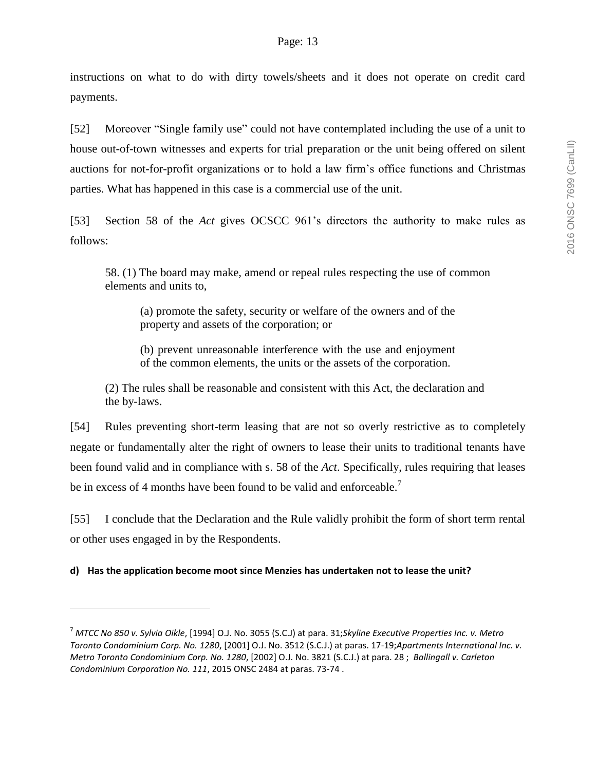instructions on what to do with dirty towels/sheets and it does not operate on credit card payments.

[52] Moreover "Single family use" could not have contemplated including the use of a unit to house out-of-town witnesses and experts for trial preparation or the unit being offered on silent auctions for not-for-profit organizations or to hold a law firm's office functions and Christmas parties. What has happened in this case is a commercial use of the unit.

[53] Section 58 of the *Act* gives OCSCC 961's directors the authority to make rules as follows:

58. (1) The board may make, amend or repeal rules respecting the use of common elements and units to,

(a) promote the safety, security or welfare of the owners and of the property and assets of the corporation; or

(b) prevent unreasonable interference with the use and enjoyment of the common elements, the units or the assets of the corporation.

(2) The rules shall be reasonable and consistent with this Act, the declaration and the by-laws.

[54] Rules preventing short-term leasing that are not so overly restrictive as to completely negate or fundamentally alter the right of owners to lease their units to traditional tenants have been found valid and in compliance with s. 58 of the *Act*. Specifically, rules requiring that leases be in excess of 4 months have been found to be valid and enforceable.<sup>7</sup>

[55] I conclude that the Declaration and the Rule validly prohibit the form of short term rental or other uses engaged in by the Respondents.

**d) Has the application become moot since Menzies has undertaken not to lease the unit?**

<sup>7</sup> *MTCC No 850 v. Sylvia Oikle*, [1994] O.J. No. 3055 (S.C.J) at para. 31;*Skyline Executive Properties Inc. v. Metro Toronto Condominium Corp. No. 1280*, [2001] O.J. No. 3512 (S.C.J.) at paras. 17-19;*Apartments International Inc. v. Metro Toronto Condominium Corp. No. 1280*, [2002] O.J. No. 3821 (S.C.J.) at para. 28 ; *Ballingall v. Carleton Condominium Corporation No. 111*, 2015 ONSC 2484 at paras. 73-74 .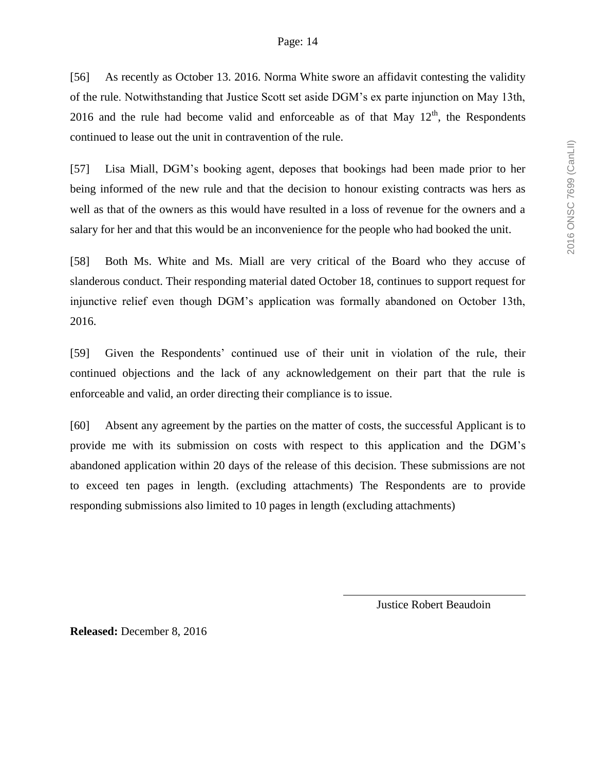#### Page: 14

[56] As recently as October 13. 2016. Norma White swore an affidavit contesting the validity of the rule. Notwithstanding that Justice Scott set aside DGM's ex parte injunction on May 13th, 2016 and the rule had become valid and enforceable as of that May  $12<sup>th</sup>$ , the Respondents continued to lease out the unit in contravention of the rule.

[57] Lisa Miall, DGM's booking agent, deposes that bookings had been made prior to her being informed of the new rule and that the decision to honour existing contracts was hers as well as that of the owners as this would have resulted in a loss of revenue for the owners and a salary for her and that this would be an inconvenience for the people who had booked the unit.

[58] Both Ms. White and Ms. Miall are very critical of the Board who they accuse of slanderous conduct. Their responding material dated October 18, continues to support request for injunctive relief even though DGM's application was formally abandoned on October 13th, 2016.

[59] Given the Respondents' continued use of their unit in violation of the rule, their continued objections and the lack of any acknowledgement on their part that the rule is enforceable and valid, an order directing their compliance is to issue.

[60] Absent any agreement by the parties on the matter of costs, the successful Applicant is to provide me with its submission on costs with respect to this application and the DGM's abandoned application within 20 days of the release of this decision. These submissions are not to exceed ten pages in length. (excluding attachments) The Respondents are to provide responding submissions also limited to 10 pages in length (excluding attachments)

Justice Robert Beaudoin

**Released:** December 8, 2016